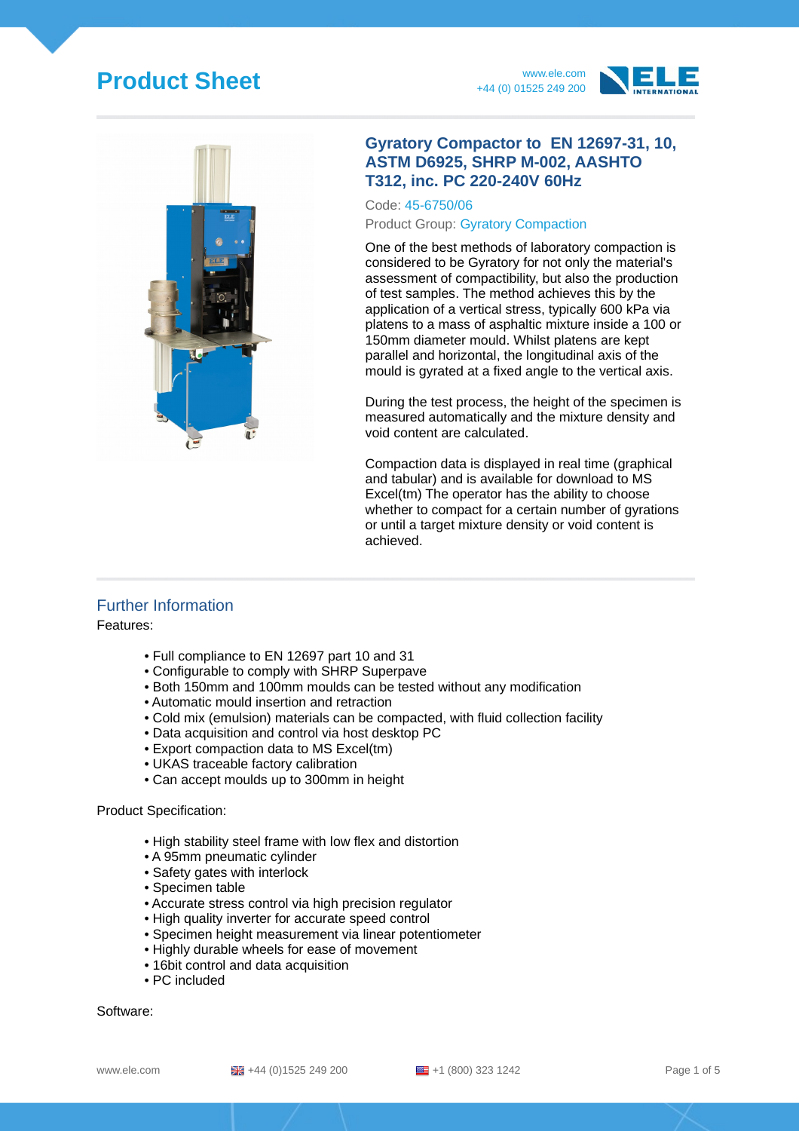# **Product Sheet** www.ele.com







#### **Gyratory Compactor to EN 12697-31, 10, ASTM D6925, SHRP M-002, AASHTO T312, inc. PC 220-240V 60Hz**

Code: 45-6750/06 Product Group: Gyratory Compaction

One of the best methods of laboratory compaction is considered to be Gyratory for not only the material's assessment of compactibility, but also the production of test samples. The method achieves this by the application of a vertical stress, typically 600 kPa via platens to a mass of asphaltic mixture inside a 100 or 150mm diameter mould. Whilst platens are kept parallel and horizontal, the longitudinal axis of the mould is gyrated at a fixed angle to the vertical axis.

During the test process, the height of the specimen is measured automatically and the mixture density and void content are calculated.

Compaction data is displayed in real time (graphical and tabular) and is available for download to MS Excel(tm) The operator has the ability to choose whether to compact for a certain number of gyrations or until a target mixture density or void content is achieved.

#### Further Information

Features:

- Full compliance to EN 12697 part 10 and 31
- Configurable to comply with SHRP Superpave
- Both 150mm and 100mm moulds can be tested without any modification
- Automatic mould insertion and retraction
- Cold mix (emulsion) materials can be compacted, with fluid collection facility
- Data acquisition and control via host desktop PC
- Export compaction data to MS Excel(tm)
- UKAS traceable factory calibration
- Can accept moulds up to 300mm in height

#### Product Specification:

- High stability steel frame with low flex and distortion
- A 95mm pneumatic cylinder
- Safety gates with interlock
- Specimen table
- Accurate stress control via high precision regulator
- High quality inverter for accurate speed control
- Specimen height measurement via linear potentiometer
- Highly durable wheels for ease of movement
- 16bit control and data acquisition
- PC included

Software:

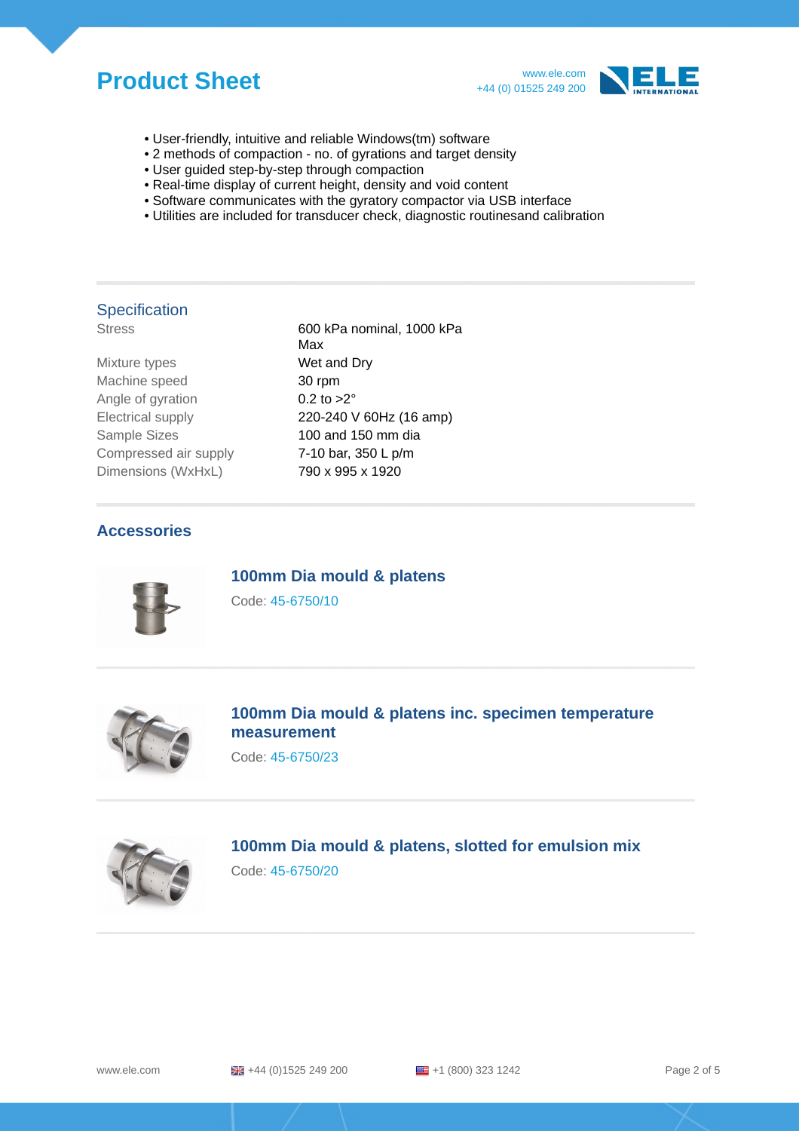## **Product Sheet** www.ele.com



- User-friendly, intuitive and reliable Windows(tm) software
- 2 methods of compaction no. of gyrations and target density
- User guided step-by-step through compaction
- Real-time display of current height, density and void content
- Software communicates with the gyratory compactor via USB interface
- Utilities are included for transducer check, diagnostic routinesand calibration

### **Specification**

| <u>uusu</u>         |  |
|---------------------|--|
| Mixture types       |  |
| Machine speed       |  |
| Angle of gyration   |  |
| Electrical supply   |  |
| <b>Sample Sizes</b> |  |
|                     |  |

Stress 600 kPa nominal, 1000 kPa Max Wet and Dry 30 rpm 0.2 to  $>2°$ 220-240 V 60Hz (16 amp)  $100$  and  $150$  mm dia Compressed air supply 7-10 bar, 350 L p/m Dimensions (WxHxL) 790 x 995 x 1920

#### **Accessories**



**100mm Dia mould & platens**

Code: 45-6750/10



**100mm Dia mould & platens inc. specimen temperature measurement**

Code: 45-6750/23



## **100mm Dia mould & platens, slotted for emulsion mix**

Code: 45-6750/20

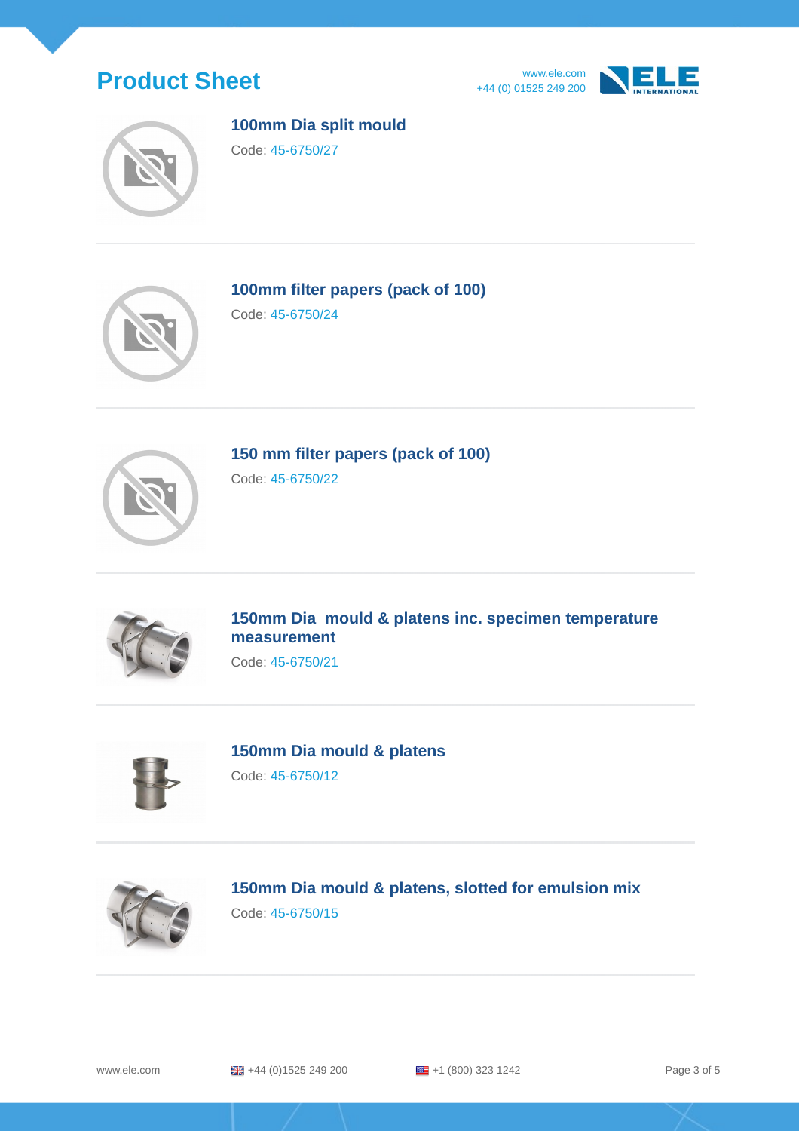







#### **100mm Dia split mould**

Code: 45-6750/27



**100mm filter papers (pack of 100)**

Code: 45-6750/24



**150 mm filter papers (pack of 100)**

Code: 45-6750/22



**150mm Dia mould & platens inc. specimen temperature measurement**

Code: 45-6750/21



**150mm Dia mould & platens**

Code: 45-6750/12



**150mm Dia mould & platens, slotted for emulsion mix** Code: 45-6750/15

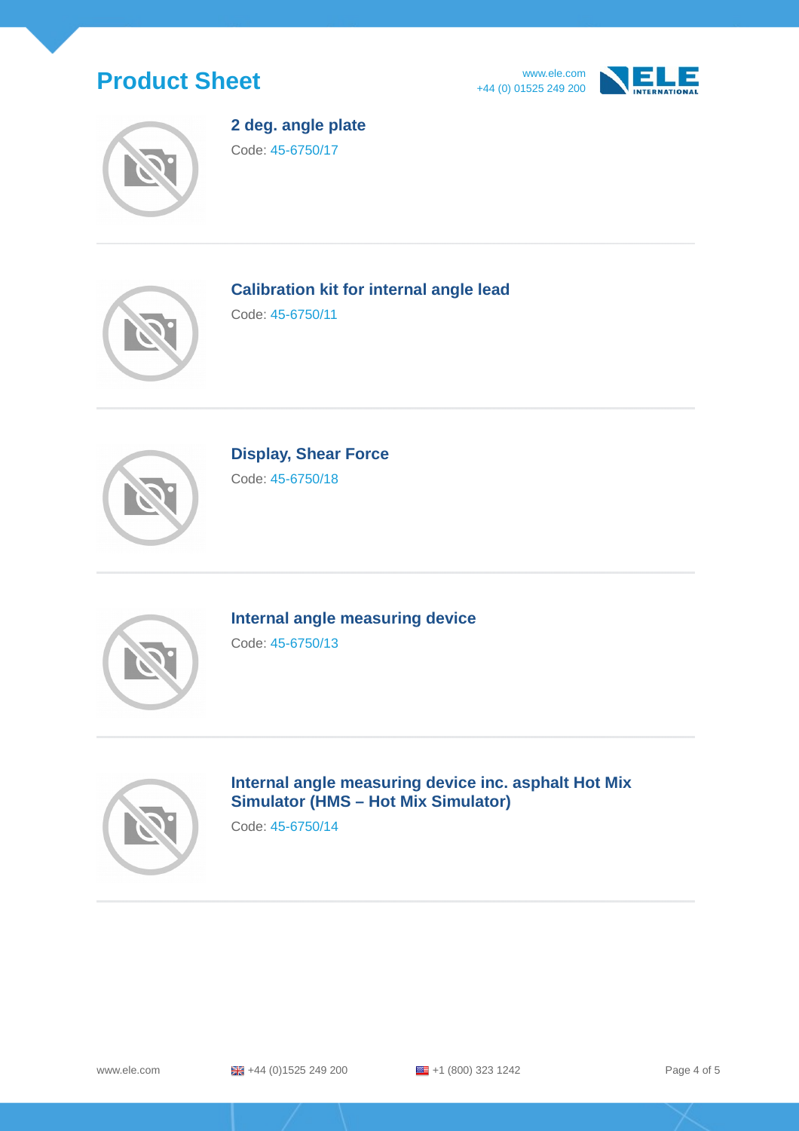





**2 deg. angle plate** Code: 45-6750/17



**Calibration kit for internal angle lead**

Code: 45-6750/11



**Display, Shear Force** Code: 45-6750/18



**Internal angle measuring device** Code: 45-6750/13



**Internal angle measuring device inc. asphalt Hot Mix Simulator (HMS – Hot Mix Simulator)**

Code: 45-6750/14